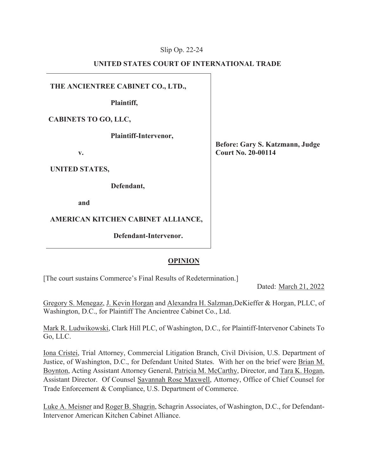## Slip Op. 22-24

## **UNITED STATES COURT OF INTERNATIONAL TRADE**

**THE ANCIENTREE CABINET CO., LTD.,** 

**Plaintiff,** 

**CABINETS TO GO, LLC,** 

**Plaintiff-Intervenor,** 

**v.** 

**UNITED STATES,** 

**Defendant,** 

**and** 

# **AMERICAN KITCHEN CABINET ALLIANCE,**

**Defendant-Intervenor.** 

**Before: Gary S. Katzmann, Judge Court No. 20-00114** 

# **OPINION**

[The court sustains Commerce's Final Results of Redetermination.]

Dated: March 21, 2022

Gregory S. Menegaz, J. Kevin Horgan and Alexandra H. Salzman,DeKieffer & Horgan, PLLC, of Washington, D.C., for Plaintiff The Ancientree Cabinet Co., Ltd.

Mark R. Ludwikowski, Clark Hill PLC, of Washington, D.C., for Plaintiff-Intervenor Cabinets To Go, LLC.

Iona Cristei, Trial Attorney, Commercial Litigation Branch, Civil Division, U.S. Department of Justice, of Washington, D.C., for Defendant United States. With her on the brief were Brian M. Boynton, Acting Assistant Attorney General, Patricia M. McCarthy, Director, and Tara K. Hogan, Assistant Director. Of Counsel Savannah Rose Maxwell, Attorney, Office of Chief Counsel for Trade Enforcement & Compliance, U.S. Department of Commerce.

Luke A. Meisner and Roger B. Shagrin, Schagrin Associates, of Washington, D.C., for Defendant-Intervenor American Kitchen Cabinet Alliance.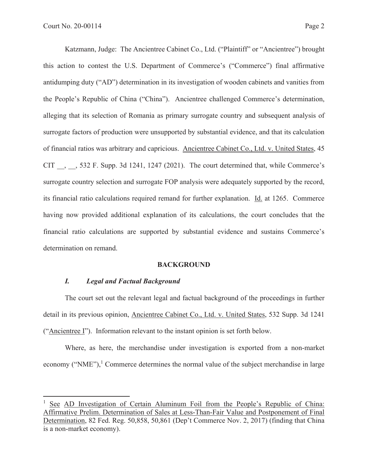Katzmann, Judge: The Ancientree Cabinet Co., Ltd. ("Plaintiff" or "Ancientree") brought this action to contest the U.S. Department of Commerce's ("Commerce") final affirmative antidumping duty ("AD") determination in its investigation of wooden cabinets and vanities from the People's Republic of China ("China"). Ancientree challenged Commerce's determination, alleging that its selection of Romania as primary surrogate country and subsequent analysis of surrogate factors of production were unsupported by substantial evidence, and that its calculation of financial ratios was arbitrary and capricious. Ancientree Cabinet Co., Ltd. v. United States, 45 CIT \_\_, \_\_, 532 F. Supp. 3d 1241, 1247 (2021). The court determined that, while Commerce's surrogate country selection and surrogate FOP analysis were adequately supported by the record, its financial ratio calculations required remand for further explanation. Id. at 1265. Commerce having now provided additional explanation of its calculations, the court concludes that the financial ratio calculations are supported by substantial evidence and sustains Commerce's determination on remand.

#### **BACKGROUND**

## *I. Legal and Factual Background*

The court set out the relevant legal and factual background of the proceedings in further detail in its previous opinion, Ancientree Cabinet Co., Ltd. v. United States, 532 Supp. 3d 1241 ("Ancientree I"). Information relevant to the instant opinion is set forth below.

Where, as here, the merchandise under investigation is exported from a non-market economy ("NME"),<sup>1</sup> Commerce determines the normal value of the subject merchandise in large

<sup>1</sup> See AD Investigation of Certain Aluminum Foil from the People's Republic of China: Affirmative Prelim. Determination of Sales at Less-Than-Fair Value and Postponement of Final Determination, 82 Fed. Reg. 50,858, 50,861 (Dep't Commerce Nov. 2, 2017) (finding that China is a non-market economy).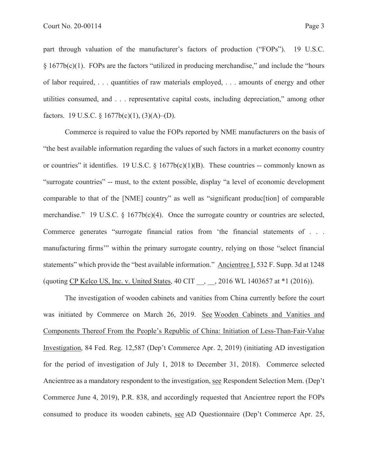part through valuation of the manufacturer's factors of production ("FOPs"). 19 U.S.C.  $§ 1677b(c)(1)$ . FOPs are the factors "utilized in producing merchandise," and include the "hours" of labor required, . . . quantities of raw materials employed, . . . amounts of energy and other utilities consumed, and . . . representative capital costs, including depreciation," among other factors. 19 U.S.C. §  $1677b(c)(1)$ ,  $(3)(A)$ – $(D)$ .

Commerce is required to value the FOPs reported by NME manufacturers on the basis of "the best available information regarding the values of such factors in a market economy country or countries" it identifies. 19 U.S.C. §  $1677b(c)(1)(B)$ . These countries -- commonly known as "surrogate countries" -- must, to the extent possible, display "a level of economic development comparable to that of the [NME] country" as well as "significant produc[tion] of comparable merchandise." 19 U.S.C. § 1677b(c)(4). Once the surrogate country or countries are selected, Commerce generates "surrogate financial ratios from 'the financial statements of . . . manufacturing firms'" within the primary surrogate country, relying on those "select financial statements" which provide the "best available information." Ancientree I, 532 F. Supp. 3d at 1248 (quoting CP Kelco US, Inc. v. United States, 40 CIT \_\_, \_\_, 2016 WL 1403657 at \*1 (2016)).

The investigation of wooden cabinets and vanities from China currently before the court was initiated by Commerce on March 26, 2019. See Wooden Cabinets and Vanities and Components Thereof From the People's Republic of China: Initiation of Less-Than-Fair-Value Investigation, 84 Fed. Reg. 12,587 (Dep't Commerce Apr. 2, 2019) (initiating AD investigation for the period of investigation of July 1, 2018 to December 31, 2018). Commerce selected Ancientree as a mandatory respondent to the investigation, see Respondent Selection Mem. (Dep't Commerce June 4, 2019), P.R. 838, and accordingly requested that Ancientree report the FOPs consumed to produce its wooden cabinets, see AD Questionnaire (Dep't Commerce Apr. 25,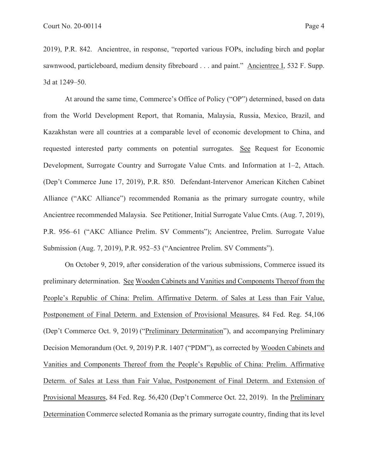2019), P.R. 842. Ancientree, in response, "reported various FOPs, including birch and poplar sawnwood, particleboard, medium density fibreboard . . . and paint." Ancientree I, 532 F. Supp. 3d at 1249–50.

At around the same time, Commerce's Office of Policy ("OP") determined, based on data from the World Development Report, that Romania, Malaysia, Russia, Mexico, Brazil, and Kazakhstan were all countries at a comparable level of economic development to China, and requested interested party comments on potential surrogates. See Request for Economic Development, Surrogate Country and Surrogate Value Cmts. and Information at 1–2, Attach. (Dep't Commerce June 17, 2019), P.R. 850. Defendant-Intervenor American Kitchen Cabinet Alliance ("AKC Alliance") recommended Romania as the primary surrogate country, while Ancientree recommended Malaysia. See Petitioner, Initial Surrogate Value Cmts. (Aug. 7, 2019), P.R. 956–61 ("AKC Alliance Prelim. SV Comments"); Ancientree, Prelim. Surrogate Value Submission (Aug. 7, 2019), P.R. 952–53 ("Ancientree Prelim. SV Comments").

On October 9, 2019, after consideration of the various submissions, Commerce issued its preliminary determination. See Wooden Cabinets and Vanities and Components Thereof from the People's Republic of China: Prelim. Affirmative Determ. of Sales at Less than Fair Value, Postponement of Final Determ. and Extension of Provisional Measures, 84 Fed. Reg. 54,106 (Dep't Commerce Oct. 9, 2019) ("Preliminary Determination"), and accompanying Preliminary Decision Memorandum (Oct. 9, 2019) P.R. 1407 ("PDM"), as corrected by Wooden Cabinets and Vanities and Components Thereof from the People's Republic of China: Prelim. Affirmative Determ. of Sales at Less than Fair Value, Postponement of Final Determ. and Extension of Provisional Measures, 84 Fed. Reg. 56,420 (Dep't Commerce Oct. 22, 2019). In the Preliminary Determination Commerce selected Romania as the primary surrogate country, finding that its level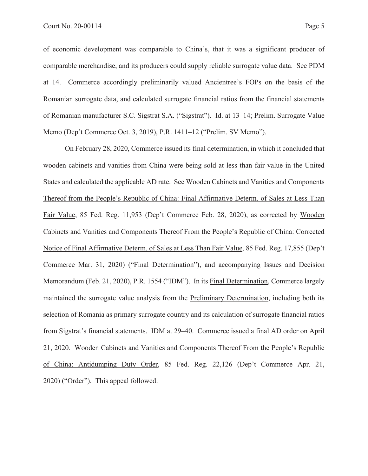of economic development was comparable to China's, that it was a significant producer of comparable merchandise, and its producers could supply reliable surrogate value data. See PDM at 14. Commerce accordingly preliminarily valued Ancientree's FOPs on the basis of the Romanian surrogate data, and calculated surrogate financial ratios from the financial statements of Romanian manufacturer S.C. Sigstrat S.A. ("Sigstrat"). Id. at 13–14; Prelim. Surrogate Value Memo (Dep't Commerce Oct. 3, 2019), P.R. 1411–12 ("Prelim. SV Memo").

On February 28, 2020, Commerce issued its final determination, in which it concluded that wooden cabinets and vanities from China were being sold at less than fair value in the United States and calculated the applicable AD rate. See Wooden Cabinets and Vanities and Components Thereof from the People's Republic of China: Final Affirmative Determ. of Sales at Less Than Fair Value, 85 Fed. Reg. 11,953 (Dep't Commerce Feb. 28, 2020), as corrected by Wooden Cabinets and Vanities and Components Thereof From the People's Republic of China: Corrected Notice of Final Affirmative Determ. of Sales at Less Than Fair Value, 85 Fed. Reg. 17,855 (Dep't Commerce Mar. 31, 2020) ("Final Determination"), and accompanying Issues and Decision Memorandum (Feb. 21, 2020), P.R. 1554 ("IDM"). In its Final Determination, Commerce largely maintained the surrogate value analysis from the Preliminary Determination, including both its selection of Romania as primary surrogate country and its calculation of surrogate financial ratios from Sigstrat's financial statements. IDM at 29–40. Commerce issued a final AD order on April 21, 2020. Wooden Cabinets and Vanities and Components Thereof From the People's Republic of China: Antidumping Duty Order, 85 Fed. Reg. 22,126 (Dep't Commerce Apr. 21, 2020) ("Order"). This appeal followed.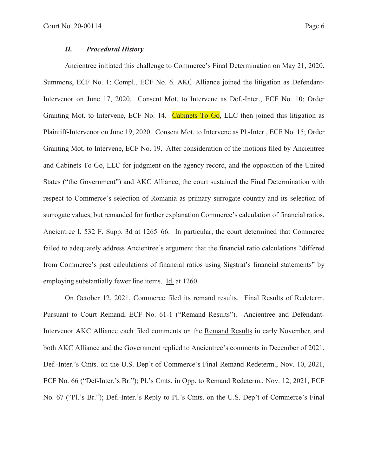### *II. Procedural History*

Ancientree initiated this challenge to Commerce's Final Determination on May 21, 2020. Summons, ECF No. 1; Compl., ECF No. 6. AKC Alliance joined the litigation as Defendant-Intervenor on June 17, 2020. Consent Mot. to Intervene as Def.-Inter., ECF No. 10; Order Granting Mot. to Intervene, ECF No. 14. Cabinets To Go, LLC then joined this litigation as Plaintiff-Intervenor on June 19, 2020. Consent Mot. to Intervene as Pl.-Inter., ECF No. 15; Order Granting Mot. to Intervene, ECF No. 19. After consideration of the motions filed by Ancientree and Cabinets To Go, LLC for judgment on the agency record, and the opposition of the United States ("the Government") and AKC Alliance, the court sustained the Final Determination with respect to Commerce's selection of Romania as primary surrogate country and its selection of surrogate values, but remanded for further explanation Commerce's calculation of financial ratios. Ancientree I, 532 F. Supp. 3d at 1265–66. In particular, the court determined that Commerce failed to adequately address Ancientree's argument that the financial ratio calculations "differed from Commerce's past calculations of financial ratios using Sigstrat's financial statements" by employing substantially fewer line items. Id. at 1260.

On October 12, 2021, Commerce filed its remand results. Final Results of Redeterm. Pursuant to Court Remand, ECF No. 61-1 ("Remand Results"). Ancientree and Defendant-Intervenor AKC Alliance each filed comments on the Remand Results in early November, and both AKC Alliance and the Government replied to Ancientree's comments in December of 2021. Def.-Inter.'s Cmts. on the U.S. Dep't of Commerce's Final Remand Redeterm., Nov. 10, 2021, ECF No. 66 ("Def-Inter.'s Br."); Pl.'s Cmts. in Opp. to Remand Redeterm., Nov. 12, 2021, ECF No. 67 ("Pl.'s Br."); Def.-Inter.'s Reply to Pl.'s Cmts. on the U.S. Dep't of Commerce's Final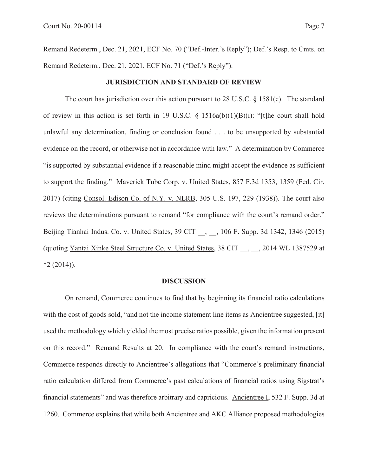Remand Redeterm., Dec. 21, 2021, ECF No. 70 ("Def.-Inter.'s Reply"); Def.'s Resp. to Cmts. on Remand Redeterm., Dec. 21, 2021, ECF No. 71 ("Def.'s Reply").

#### **JURISDICTION AND STANDARD OF REVIEW**

The court has jurisdiction over this action pursuant to 28 U.S.C. § 1581(c). The standard of review in this action is set forth in 19 U.S.C. § 1516a(b)(1)(B)(i): "[t]he court shall hold unlawful any determination, finding or conclusion found . . . to be unsupported by substantial evidence on the record, or otherwise not in accordance with law." A determination by Commerce "is supported by substantial evidence if a reasonable mind might accept the evidence as sufficient to support the finding." Maverick Tube Corp. v. United States, 857 F.3d 1353, 1359 (Fed. Cir. 2017) (citing Consol. Edison Co. of N.Y. v. NLRB, 305 U.S. 197, 229 (1938)). The court also reviews the determinations pursuant to remand "for compliance with the court's remand order." Beijing Tianhai Indus. Co. v. United States, 39 CIT \_\_, \_\_, 106 F. Supp. 3d 1342, 1346 (2015) (quoting Yantai Xinke Steel Structure Co. v. United States, 38 CIT \_\_, \_\_, 2014 WL 1387529 at  $*2(2014)$ .

### **DISCUSSION**

On remand, Commerce continues to find that by beginning its financial ratio calculations with the cost of goods sold, "and not the income statement line items as Ancientree suggested, [it] used the methodology which yielded the most precise ratios possible, given the information present on this record." Remand Results at 20. In compliance with the court's remand instructions, Commerce responds directly to Ancientree's allegations that "Commerce's preliminary financial ratio calculation differed from Commerce's past calculations of financial ratios using Sigstrat's financial statements" and was therefore arbitrary and capricious. Ancientree I, 532 F. Supp. 3d at 1260. Commerce explains that while both Ancientree and AKC Alliance proposed methodologies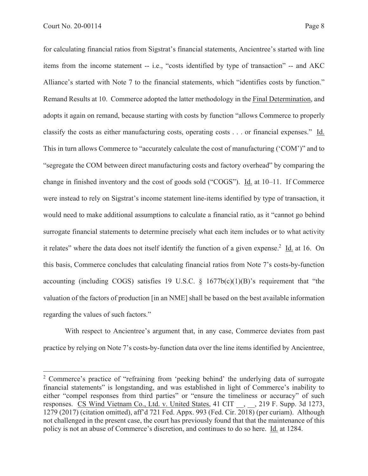for calculating financial ratios from Sigstrat's financial statements, Ancientree's started with line items from the income statement -- i.e., "costs identified by type of transaction" -- and AKC Alliance's started with Note 7 to the financial statements, which "identifies costs by function." Remand Results at 10. Commerce adopted the latter methodology in the Final Determination, and adopts it again on remand, because starting with costs by function "allows Commerce to properly classify the costs as either manufacturing costs, operating costs . . . or financial expenses." Id. This in turn allows Commerce to "accurately calculate the cost of manufacturing ('COM')" and to "segregate the COM between direct manufacturing costs and factory overhead" by comparing the change in finished inventory and the cost of goods sold ("COGS"). Id. at 10–11. If Commerce were instead to rely on Sigstrat's income statement line-items identified by type of transaction, it would need to make additional assumptions to calculate a financial ratio, as it "cannot go behind surrogate financial statements to determine precisely what each item includes or to what activity it relates" where the data does not itself identify the function of a given expense.<sup>2</sup> Id. at 16. On this basis, Commerce concludes that calculating financial ratios from Note 7's costs-by-function accounting (including COGS) satisfies 19 U.S.C.  $\S$  1677b(c)(1)(B)'s requirement that "the valuation of the factors of production [in an NME] shall be based on the best available information regarding the values of such factors."

With respect to Ancientree's argument that, in any case, Commerce deviates from past practice by relying on Note 7's costs-by-function data over the line items identified by Ancientree,

<sup>&</sup>lt;sup>2</sup> Commerce's practice of "refraining from 'peeking behind' the underlying data of surrogate financial statements" is longstanding, and was established in light of Commerce's inability to either "compel responses from third parties" or "ensure the timeliness or accuracy" of such responses. CS Wind Vietnam Co., Ltd. v. United States, 41 CIT , , 219 F. Supp. 3d 1273, 1279 (2017) (citation omitted), aff'd 721 Fed. Appx. 993 (Fed. Cir. 2018) (per curiam). Although not challenged in the present case, the court has previously found that that the maintenance of this policy is not an abuse of Commerce's discretion, and continues to do so here. Id. at 1284.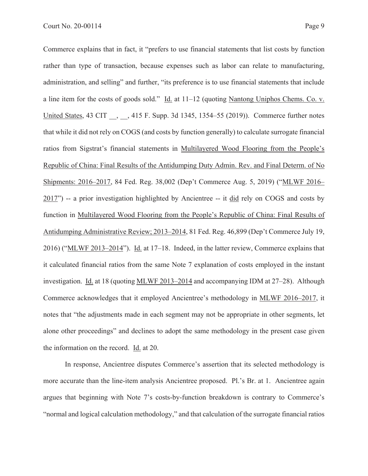Commerce explains that in fact, it "prefers to use financial statements that list costs by function rather than type of transaction, because expenses such as labor can relate to manufacturing, administration, and selling" and further, "its preference is to use financial statements that include a line item for the costs of goods sold." Id. at 11–12 (quoting Nantong Uniphos Chems. Co. v. United States, 43 CIT , , 415 F. Supp. 3d 1345, 1354–55 (2019)). Commerce further notes that while it did not rely on COGS (and costs by function generally) to calculate surrogate financial ratios from Sigstrat's financial statements in Multilayered Wood Flooring from the People's Republic of China: Final Results of the Antidumping Duty Admin. Rev. and Final Determ. of No Shipments: 2016–2017, 84 Fed. Reg. 38,002 (Dep't Commerce Aug. 5, 2019) ("MLWF 2016– 2017") -- a prior investigation highlighted by Ancientree -- it did rely on COGS and costs by function in Multilayered Wood Flooring from the People's Republic of China: Final Results of Antidumping Administrative Review; 2013–2014, 81 Fed. Reg. 46,899 (Dep't Commerce July 19, 2016) ("MLWF 2013–2014"). Id. at 17–18. Indeed, in the latter review, Commerce explains that it calculated financial ratios from the same Note 7 explanation of costs employed in the instant investigation. Id. at 18 (quoting MLWF 2013–2014 and accompanying IDM at 27–28). Although Commerce acknowledges that it employed Ancientree's methodology in MLWF 2016–2017, it notes that "the adjustments made in each segment may not be appropriate in other segments, let alone other proceedings" and declines to adopt the same methodology in the present case given the information on the record. Id. at 20.

In response, Ancientree disputes Commerce's assertion that its selected methodology is more accurate than the line-item analysis Ancientree proposed. Pl.'s Br. at 1. Ancientree again argues that beginning with Note 7's costs-by-function breakdown is contrary to Commerce's "normal and logical calculation methodology," and that calculation of the surrogate financial ratios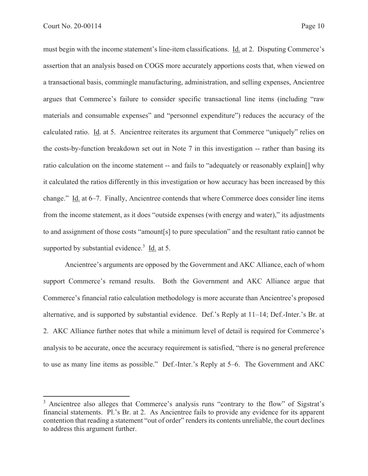must begin with the income statement's line-item classifications. Id. at 2. Disputing Commerce's assertion that an analysis based on COGS more accurately apportions costs that, when viewed on a transactional basis, commingle manufacturing, administration, and selling expenses, Ancientree argues that Commerce's failure to consider specific transactional line items (including "raw materials and consumable expenses" and "personnel expenditure") reduces the accuracy of the calculated ratio. Id. at 5. Ancientree reiterates its argument that Commerce "uniquely" relies on the costs-by-function breakdown set out in Note 7 in this investigation -- rather than basing its ratio calculation on the income statement -- and fails to "adequately or reasonably explain[] why it calculated the ratios differently in this investigation or how accuracy has been increased by this change." Id. at 6–7. Finally, Ancientree contends that where Commerce does consider line items from the income statement, as it does "outside expenses (with energy and water)," its adjustments to and assignment of those costs "amount[s] to pure speculation" and the resultant ratio cannot be supported by substantial evidence.<sup>3</sup> Id. at 5.

Ancientree's arguments are opposed by the Government and AKC Alliance, each of whom support Commerce's remand results. Both the Government and AKC Alliance argue that Commerce's financial ratio calculation methodology is more accurate than Ancientree's proposed alternative, and is supported by substantial evidence. Def.'s Reply at 11–14; Def.-Inter.'s Br. at 2. AKC Alliance further notes that while a minimum level of detail is required for Commerce's analysis to be accurate, once the accuracy requirement is satisfied, "there is no general preference to use as many line items as possible." Def.-Inter.'s Reply at 5–6. The Government and AKC

<sup>&</sup>lt;sup>3</sup> Ancientree also alleges that Commerce's analysis runs "contrary to the flow" of Sigstrat's financial statements. Pl.'s Br. at 2. As Ancientree fails to provide any evidence for its apparent contention that reading a statement "out of order" renders its contents unreliable, the court declines to address this argument further.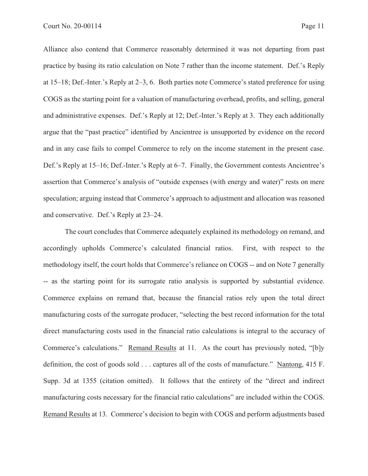Alliance also contend that Commerce reasonably determined it was not departing from past practice by basing its ratio calculation on Note 7 rather than the income statement. Def.'s Reply at 15–18; Def.-Inter.'s Reply at 2–3, 6. Both parties note Commerce's stated preference for using COGS as the starting point for a valuation of manufacturing overhead, profits, and selling, general and administrative expenses. Def.'s Reply at 12; Def.-Inter.'s Reply at 3. They each additionally argue that the "past practice" identified by Ancientree is unsupported by evidence on the record and in any case fails to compel Commerce to rely on the income statement in the present case. Def.'s Reply at 15–16; Def.-Inter.'s Reply at 6–7. Finally, the Government contests Ancientree's assertion that Commerce's analysis of "outside expenses (with energy and water)" rests on mere speculation; arguing instead that Commerce's approach to adjustment and allocation was reasoned and conservative. Def.'s Reply at 23–24.

The court concludes that Commerce adequately explained its methodology on remand, and accordingly upholds Commerce's calculated financial ratios. First, with respect to the methodology itself, the court holds that Commerce's reliance on COGS -- and on Note 7 generally -- as the starting point for its surrogate ratio analysis is supported by substantial evidence. Commerce explains on remand that, because the financial ratios rely upon the total direct manufacturing costs of the surrogate producer, "selecting the best record information for the total direct manufacturing costs used in the financial ratio calculations is integral to the accuracy of Commerce's calculations." Remand Results at 11. As the court has previously noted, "[b]y definition, the cost of goods sold . . . captures all of the costs of manufacture." Nantong, 415 F. Supp. 3d at 1355 (citation omitted). It follows that the entirety of the "direct and indirect manufacturing costs necessary for the financial ratio calculations" are included within the COGS. Remand Results at 13. Commerce's decision to begin with COGS and perform adjustments based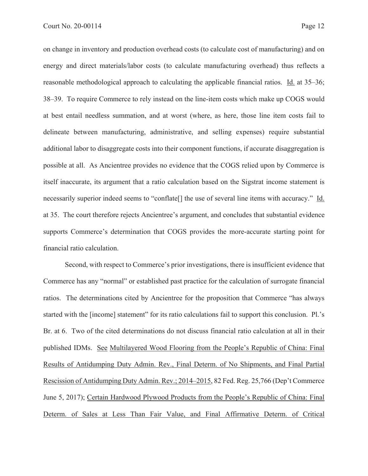on change in inventory and production overhead costs (to calculate cost of manufacturing) and on energy and direct materials/labor costs (to calculate manufacturing overhead) thus reflects a reasonable methodological approach to calculating the applicable financial ratios. Id. at 35–36; 38–39. To require Commerce to rely instead on the line-item costs which make up COGS would at best entail needless summation, and at worst (where, as here, those line item costs fail to delineate between manufacturing, administrative, and selling expenses) require substantial additional labor to disaggregate costs into their component functions, if accurate disaggregation is possible at all. As Ancientree provides no evidence that the COGS relied upon by Commerce is itself inaccurate, its argument that a ratio calculation based on the Sigstrat income statement is necessarily superior indeed seems to "conflate[] the use of several line items with accuracy." Id. at 35. The court therefore rejects Ancientree's argument, and concludes that substantial evidence supports Commerce's determination that COGS provides the more-accurate starting point for financial ratio calculation.

Second, with respect to Commerce's prior investigations, there is insufficient evidence that Commerce has any "normal" or established past practice for the calculation of surrogate financial ratios. The determinations cited by Ancientree for the proposition that Commerce "has always started with the [income] statement" for its ratio calculations fail to support this conclusion. Pl.'s Br. at 6. Two of the cited determinations do not discuss financial ratio calculation at all in their published IDMs. See Multilayered Wood Flooring from the People's Republic of China: Final Results of Antidumping Duty Admin. Rev., Final Determ. of No Shipments, and Final Partial Rescission of Antidumping Duty Admin. Rev.; 2014–2015, 82 Fed. Reg. 25,766 (Dep't Commerce June 5, 2017); Certain Hardwood Plywood Products from the People's Republic of China: Final Determ. of Sales at Less Than Fair Value, and Final Affirmative Determ. of Critical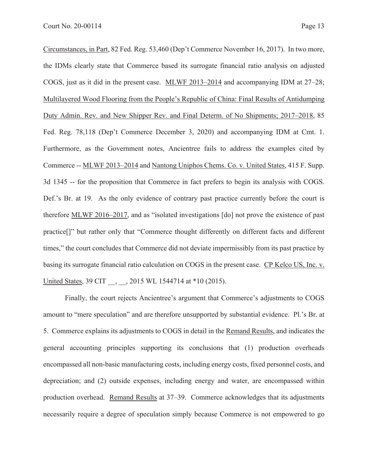Circumstances, in Part, 82 Fed. Reg. 53,460 (Dep't Commerce November 16, 2017). In two more, the IDMs clearly state that Commerce based its surrogate financial ratio analysis on adjusted COGS, just as it did in the present case. MLWF 2013–2014 and accompanying IDM at 27–28; Multilayered Wood Flooring from the People's Republic of China: Final Results of Antidumping Duty Admin. Rev. and New Shipper Rev. and Final Determ. of No Shipments; 2017–2018, 85 Fed. Reg. 78,118 (Dep't Commerce December 3, 2020) and accompanying IDM at Cmt. 1. Furthermore, as the Government notes, Ancientree fails to address the examples cited by Commerce -- MLWF 2013–2014 and Nantong Uniphos Chems. Co. v. United States, 415 F. Supp. 3d 1345 -- for the proposition that Commerce in fact prefers to begin its analysis with COGS. Def.'s Br. at 19. As the only evidence of contrary past practice currently before the court is therefore MLWF 2016–2017, and as "isolated investigations [do] not prove the existence of past practice[]" but rather only that "Commerce thought differently on different facts and different times," the court concludes that Commerce did not deviate impermissibly from its past practice by basing its surrogate financial ratio calculation on COGS in the present case. CP Kelco US, Inc. v. United States, 39 CIT \_\_, \_\_, 2015 WL 1544714 at \*10 (2015).

Finally, the court rejects Ancientree's argument that Commerce's adjustments to COGS amount to "mere speculation" and are therefore unsupported by substantial evidence. Pl.'s Br. at 5. Commerce explains its adjustments to COGS in detail in the Remand Results, and indicates the general accounting principles supporting its conclusions that (1) production overheads encompassed all non-basic manufacturing costs, including energy costs, fixed personnel costs, and depreciation; and (2) outside expenses, including energy and water, are encompassed within production overhead. Remand Results at 37–39. Commerce acknowledges that its adjustments necessarily require a degree of speculation simply because Commerce is not empowered to go